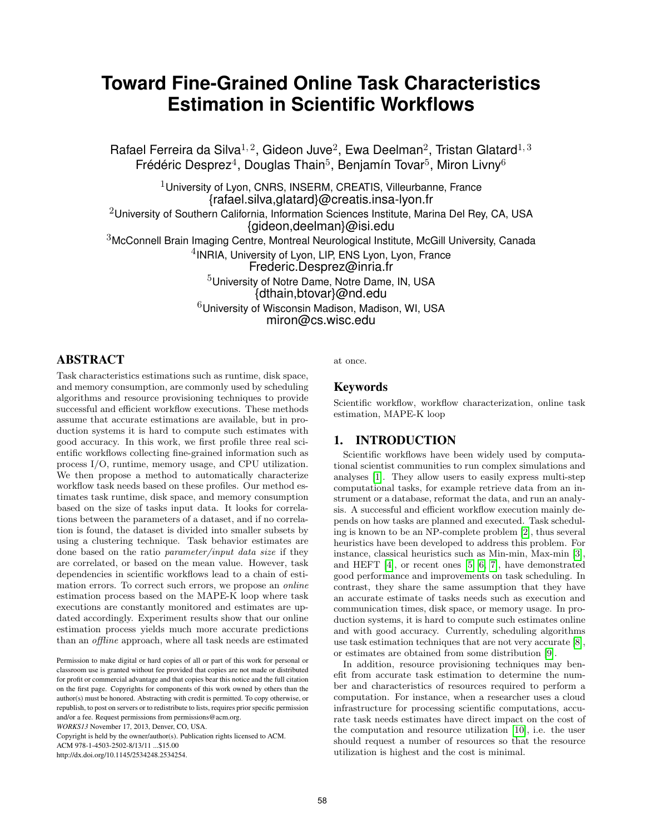# **Toward Fine-Grained Online Task Characteristics Estimation in Scientific Workflows**

Rafael Ferreira da Silva $^{1, 2}$ , Gideon Juve<sup>2</sup>, Ewa Deelman<sup>2</sup>, Tristan Glatard $^{1, 3}$ Frédéric Desprez $^4$ , Douglas Thain $^5$ , Benjamín Tovar $^5$ , Miron Livny $^6$ 

<sup>1</sup>University of Lyon, CNRS, INSERM, CREATIS, Villeurbanne, France {rafael.silva,glatard}@creatis.insa-lyon.fr  $2$ University of Southern California, Information Sciences Institute, Marina Del Rey, CA, USA {gideon,deelman}@isi.edu <sup>3</sup>McConnell Brain Imaging Centre, Montreal Neurological Institute, McGill University, Canada <sup>4</sup>INRIA, University of Lyon, LIP, ENS Lyon, Lyon, France Frederic.Desprez@inria.fr <sup>5</sup>University of Notre Dame, Notre Dame, IN, USA {dthain,btovar}@nd.edu  $6$ University of Wisconsin Madison, Madison, WI, USA miron@cs.wisc.edu

# ABSTRACT

Task characteristics estimations such as runtime, disk space, and memory consumption, are commonly used by scheduling algorithms and resource provisioning techniques to provide successful and efficient workflow executions. These methods assume that accurate estimations are available, but in production systems it is hard to compute such estimates with good accuracy. In this work, we first profile three real scientific workflows collecting fine-grained information such as process I/O, runtime, memory usage, and CPU utilization. We then propose a method to automatically characterize workflow task needs based on these profiles. Our method estimates task runtime, disk space, and memory consumption based on the size of tasks input data. It looks for correlations between the parameters of a dataset, and if no correlation is found, the dataset is divided into smaller subsets by using a clustering technique. Task behavior estimates are done based on the ratio parameter/input data size if they are correlated, or based on the mean value. However, task dependencies in scientific workflows lead to a chain of estimation errors. To correct such errors, we propose an online estimation process based on the MAPE-K loop where task executions are constantly monitored and estimates are updated accordingly. Experiment results show that our online estimation process yields much more accurate predictions than an offline approach, where all task needs are estimated

*WORKS13* November 17, 2013, Denver, CO, USA.

Copyright is held by the owner/author(s). Publication rights licensed to ACM.

ACM 978-1-4503-2502-8/13/11 ...\$15.00

http://dx.doi.org/10.1145/2534248.2534254.

at once.

## Keywords

Scientific workflow, workflow characterization, online task estimation, MAPE-K loop

# 1. INTRODUCTION

Scientific workflows have been widely used by computational scientist communities to run complex simulations and analyses [1]. They allow users to easily express multi-step computational tasks, for example retrieve data from an instrument or a database, reformat the data, and run an analysis. A successful and efficient workflow execution mainly depends on how tasks are planned and executed. Task scheduling is known to be an NP-complete problem [2], thus several heuristics have been developed to address this problem. For instance, classical heuristics such as Min-min, Max-min [3], and HEFT [4], or recent ones [5, 6, 7], have demonstrated good performance and improvements on task scheduling. In contrast, they share the same assumption that they have an accurate estimate of tasks needs such as execution and communication times, disk space, or memory usage. In production systems, it is hard to compute such estimates online and with good accuracy. Currently, scheduling algorithms use task estimation techniques that are not very accurate [8], or estimates are obtained from some distribution [9].

In addition, resource provisioning techniques may benefit from accurate task estimation to determine the number and characteristics of resources required to perform a computation. For instance, when a researcher uses a cloud infrastructure for processing scientific computations, accurate task needs estimates have direct impact on the cost of the computation and resource utilization [10], i.e. the user should request a number of resources so that the resource utilization is highest and the cost is minimal.

Permission to make digital or hard copies of all or part of this work for personal or classroom use is granted without fee provided that copies are not made or distributed for profit or commercial advantage and that copies bear this notice and the full citation on the first page. Copyrights for components of this work owned by others than the author(s) must be honored. Abstracting with credit is permitted. To copy otherwise, or republish, to post on servers or to redistribute to lists, requires prior specific permission and/or a fee. Request permissions from permissions@acm.org.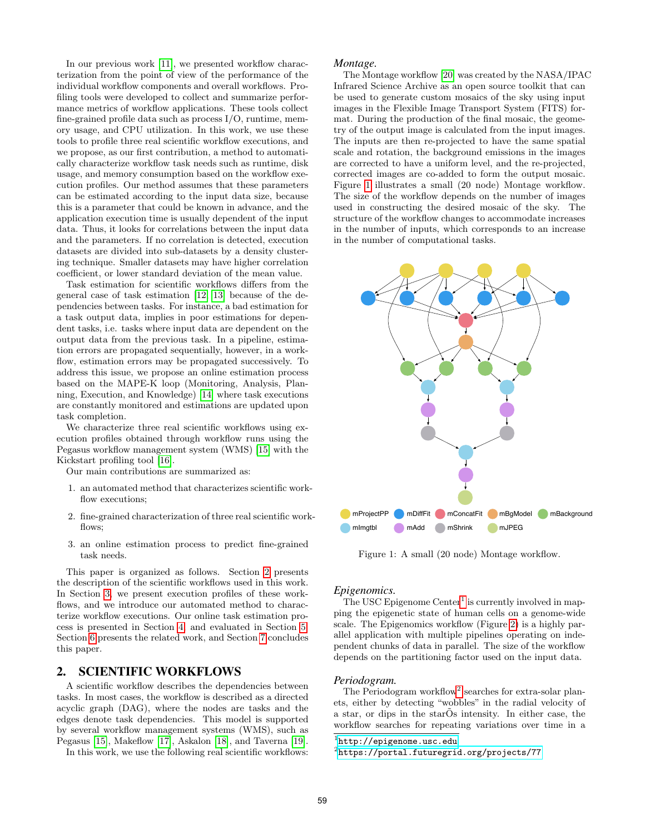In our previous work [11], we presented workflow characterization from the point of view of the performance of the individual workflow components and overall workflows. Profiling tools were developed to collect and summarize performance metrics of workflow applications. These tools collect fine-grained profile data such as process I/O, runtime, memory usage, and CPU utilization. In this work, we use these tools to profile three real scientific workflow executions, and we propose, as our first contribution, a method to automatically characterize workflow task needs such as runtime, disk usage, and memory consumption based on the workflow execution profiles. Our method assumes that these parameters can be estimated according to the input data size, because this is a parameter that could be known in advance, and the application execution time is usually dependent of the input data. Thus, it looks for correlations between the input data and the parameters. If no correlation is detected, execution datasets are divided into sub-datasets by a density clustering technique. Smaller datasets may have higher correlation coefficient, or lower standard deviation of the mean value.

Task estimation for scientific workflows differs from the general case of task estimation [12, 13] because of the dependencies between tasks. For instance, a bad estimation for a task output data, implies in poor estimations for dependent tasks, i.e. tasks where input data are dependent on the output data from the previous task. In a pipeline, estimation errors are propagated sequentially, however, in a workflow, estimation errors may be propagated successively. To address this issue, we propose an online estimation process based on the MAPE-K loop (Monitoring, Analysis, Planning, Execution, and Knowledge) [14] where task executions are constantly monitored and estimations are updated upon task completion.

We characterize three real scientific workflows using execution profiles obtained through workflow runs using the Pegasus workflow management system (WMS) [15] with the Kickstart profiling tool [16].

Our main contributions are summarized as:

- 1. an automated method that characterizes scientific workflow executions:
- 2. fine-grained characterization of three real scientific workflows:
- 3. an online estimation process to predict fine-grained task needs.

This paper is organized as follows. Section 2 presents the description of the scientific workflows used in this work. In Section 3, we present execution profiles of these workflows, and we introduce our automated method to characterize workflow executions. Our online task estimation process is presented in Section 4, and evaluated in Section 5. Section 6 presents the related work, and Section 7 concludes this paper.

# 2. SCIENTIFIC WORKFLOWS

A scientific workflow describes the dependencies between tasks. In most cases, the workflow is described as a directed acyclic graph (DAG), where the nodes are tasks and the edges denote task dependencies. This model is supported by several workflow management systems (WMS), such as Pegasus [15], Makeflow [17], Askalon [18], and Taverna [19].

In this work, we use the following real scientific workflows:

#### *Montage.*

The Montage workflow [20] was created by the NASA/IPAC Infrared Science Archive as an open source toolkit that can be used to generate custom mosaics of the sky using input images in the Flexible Image Transport System (FITS) format. During the production of the final mosaic, the geometry of the output image is calculated from the input images. The inputs are then re-projected to have the same spatial scale and rotation, the background emissions in the images are corrected to have a uniform level, and the re-projected, corrected images are co-added to form the output mosaic. Figure 1 illustrates a small (20 node) Montage workflow. The size of the workflow depends on the number of images used in constructing the desired mosaic of the sky. The structure of the workflow changes to accommodate increases in the number of inputs, which corresponds to an increase in the number of computational tasks.



Figure 1: A small (20 node) Montage workflow.

#### *Epigenomics.*

The USC Epigenome Center<sup>1</sup> is currently involved in mapping the epigenetic state of human cells on a genome-wide scale. The Epigenomics workflow (Figure 2) is a highly parallel application with multiple pipelines operating on independent chunks of data in parallel. The size of the workflow depends on the partitioning factor used on the input data.

#### *Periodogram.*

The Periodogram workflow<sup>2</sup> searches for extra-solar planets, either by detecting "wobbles" in the radial velocity of a star, or dips in the starOs intensity. In either case, the workflow searches for repeating variations over time in a

<sup>1</sup> <http://epigenome.usc.edu>

 $^{2}$ <https://portal.futuregrid.org/projects/77>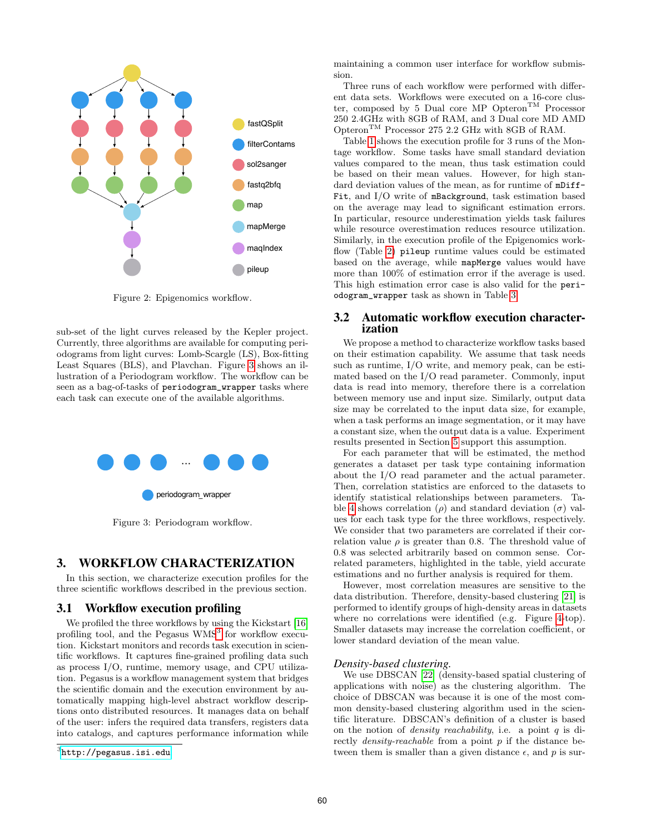

Figure 2: Epigenomics workflow.

sub-set of the light curves released by the Kepler project. Currently, three algorithms are available for computing periodograms from light curves: Lomb-Scargle (LS), Box-fitting Least Squares (BLS), and Plavchan. Figure 3 shows an illustration of a Periodogram workflow. The workflow can be seen as a bag-of-tasks of periodogram\_wrapper tasks where each task can execute one of the available algorithms.



Figure 3: Periodogram workflow.

# 3. WORKFLOW CHARACTERIZATION

In this section, we characterize execution profiles for the three scientific workflows described in the previous section.

## 3.1 Workflow execution profiling

We profiled the three workflows by using the Kickstart [16] profiling tool, and the Pegasus WMS<sup>3</sup> for workflow execution. Kickstart monitors and records task execution in scientific workflows. It captures fine-grained profiling data such as process I/O, runtime, memory usage, and CPU utilization. Pegasus is a workflow management system that bridges the scientific domain and the execution environment by automatically mapping high-level abstract workflow descriptions onto distributed resources. It manages data on behalf of the user: infers the required data transfers, registers data into catalogs, and captures performance information while maintaining a common user interface for workflow submission.

Three runs of each workflow were performed with different data sets. Workflows were executed on a 16-core cluster, composed by 5 Dual core MP Opteron<sup>TM</sup> Processor 250 2.4GHz with 8GB of RAM, and 3 Dual core MD AMD  $\rm{Opteron}^{\rm TM}$  Processor 275 2.2 GHz with 8GB of RAM.

Table 1 shows the execution profile for 3 runs of the Montage workflow. Some tasks have small standard deviation values compared to the mean, thus task estimation could be based on their mean values. However, for high standard deviation values of the mean, as for runtime of  $mDiff-$ Fit, and I/O write of mBackground, task estimation based on the average may lead to significant estimation errors. In particular, resource underestimation yields task failures while resource overestimation reduces resource utilization. Similarly, in the execution profile of the Epigenomics workflow (Table 2) pileup runtime values could be estimated based on the average, while mapMerge values would have more than 100% of estimation error if the average is used. This high estimation error case is also valid for the periodogram\_wrapper task as shown in Table 3.

#### 3.2 Automatic workflow execution characterization

We propose a method to characterize workflow tasks based on their estimation capability. We assume that task needs such as runtime, I/O write, and memory peak, can be estimated based on the I/O read parameter. Commonly, input data is read into memory, therefore there is a correlation between memory use and input size. Similarly, output data size may be correlated to the input data size, for example, when a task performs an image segmentation, or it may have a constant size, when the output data is a value. Experiment results presented in Section 5 support this assumption.

For each parameter that will be estimated, the method generates a dataset per task type containing information about the I/O read parameter and the actual parameter. Then, correlation statistics are enforced to the datasets to identify statistical relationships between parameters. Table 4 shows correlation  $(\rho)$  and standard deviation  $(\sigma)$  values for each task type for the three workflows, respectively. We consider that two parameters are correlated if their correlation value  $\rho$  is greater than 0.8. The threshold value of 0.8 was selected arbitrarily based on common sense. Correlated parameters, highlighted in the table, yield accurate estimations and no further analysis is required for them.

However, most correlation measures are sensitive to the data distribution. Therefore, density-based clustering [21] is performed to identify groups of high-density areas in datasets where no correlations were identified (e.g. Figure 4-top). Smaller datasets may increase the correlation coefficient, or lower standard deviation of the mean value.

#### *Density-based clustering.*

We use DBSCAN [22] (density-based spatial clustering of applications with noise) as the clustering algorithm. The choice of DBSCAN was because it is one of the most common density-based clustering algorithm used in the scientific literature. DBSCAN's definition of a cluster is based on the notion of *density reachability*, i.e. a point  $q$  is directly *density-reachable* from a point  $p$  if the distance between them is smaller than a given distance  $\epsilon$ , and p is sur-

 ${}^{3}$ <http://pegasus.isi.edu>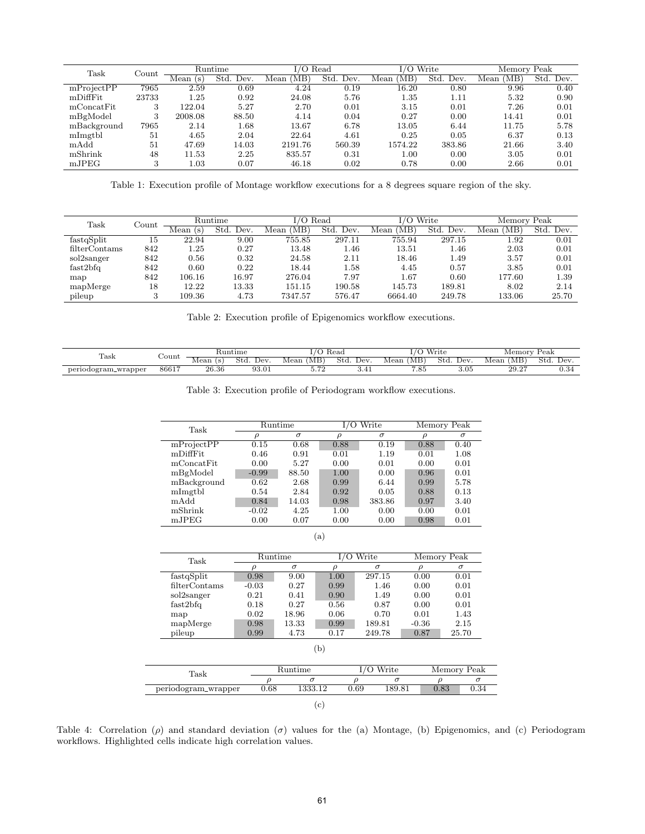| Task        | Count |              | Runtime     | $\sqrt{O}$<br>Read |              | I/O Write  |              | Memory Peak |           |  |
|-------------|-------|--------------|-------------|--------------------|--------------|------------|--------------|-------------|-----------|--|
|             |       | Mean<br>. S' | Std.<br>Dev | (MB)<br>Mean       | Std.<br>Dev. | ΜВ<br>Mean | Std.<br>Dev. | 'MB<br>Mean | Std. Dev. |  |
| mProjectPP  | 7965  | 2.59         | 0.69        | 4.24               | 0.19         | 16.20      | 0.80         | 9.96        | 0.40      |  |
| mDiffFit    | 23733 | .25          | 0.92        | 24.08              | 5.76         | 1.35       | 1.11         | 5.32        | 0.90      |  |
| mConcatFit  |       | 122.04       | 5.27        | 2.70               | 0.01         | 3.15       | 0.01         | 7.26        | 0.01      |  |
| mBgModel    | 3     | 2008.08      | 88.50       | 4.14               | 0.04         | 0.27       | 0.00         | 14.41       | 0.01      |  |
| mBackground | 7965  | 2.14         | L.68        | 13.67              | 6.78         | 13.05      | 6.44         | 11.75       | 5.78      |  |
| mImgtbl     | 51    | 4.65         | 2.04        | 22.64              | 4.61         | 0.25       | 0.05         | 6.37        | 0.13      |  |
| mAdd        | 51    | 47.69        | 14.03       | 2191.76            | 560.39       | 1574.22    | 383.86       | 21.66       | 3.40      |  |
| mShrink     | 48    | 11.53        | 2.25        | 835.57             | 0.31         | $1.00\,$   | 0.00         | 3.05        | 0.01      |  |
| mJPEG       |       | 0.03         | 0.07        | 46.18              | 0.02         | 0.78       | 0.00         | 2.66        | 0.01      |  |

Table 1: Execution profile of Montage workflow executions for a 8 degrees square region of the sky.

| Task          | Count |             | Runtime |             | /O Read<br>I/O Write     |            |        | Peak<br>Memory |                                 |  |
|---------------|-------|-------------|---------|-------------|--------------------------|------------|--------|----------------|---------------------------------|--|
|               |       | Mean<br>l S | Dev     | Mean<br>MB. | $_{\mathrm{Std}}$<br>Dev | MВ<br>Mean | Jev.   | MB)<br>Mean    | $\operatorname{Std}.$<br>. Dev. |  |
| fastqSplit    | 15    | 22.94       | 9.00    | 755.85      | 297.11                   | 755.94     | 297.15 | $1.92\,$       | 0.01                            |  |
| filterContams | 842   | 1.25        | 0.27    | 13.48       | 1.46                     | 13.51      | 1.46   | 2.03           | 0.01                            |  |
| sol2sanger    | 842   | 0.56        | 0.32    | 24.58       | 2.11                     | 18.46      | 1.49   | 3.57           | 0.01                            |  |
| fast2bfq      | 842   | 0.60        | 0.22    | 18.44       | 1.58                     | 4.45       | 0.57   | 3.85           | 0.01                            |  |
| map           | 842   | 106.16      | 16.97   | 276.04      | 7.97                     | 1.67       | 0.60   | 177.60         | 1.39                            |  |
| mapMerge      | 18    | 12.22       | 13.33   | 151.15      | 190.58                   | 145.73     | 189.81 | 8.02           | 2.14                            |  |
| pileup        |       | 109.36      | 4.73    | 7347.57     | 576.47                   | 6664.40    | 249.78 | 133.06         | 25.70                           |  |

Table 2: Execution profile of Epigenomics workflow executions.

|                                            |       |            | iuntume           |                                    | Read       | $  -$              | Write       | Peak<br>Memory.                                             |             |
|--------------------------------------------|-------|------------|-------------------|------------------------------------|------------|--------------------|-------------|-------------------------------------------------------------|-------------|
| Task                                       | Jount | Mean<br>r. | ∽itr<br>. Jev     | Mear<br>$\mathcal{M}$ $\mathbf{B}$ | Jev<br>StΩ | Mean               | Jev<br>nt c | $\mathcal{M}$ B <sup><math>\mathcal{N}</math></sup><br>Mean | Dev<br>St.c |
| _wrapper<br>Der <sub>1</sub><br>ram.<br>ъ. | 86617 | 26.36      | $\alpha$<br>JU.V. | . <u>.</u>                         | ง.≄⊥       | $^{\circ}$<br>. റല | $_{3.05}$   | 29.27                                                       | ∪.∪±        |

|  |  | Table 3: Execution profile of Periodogram workflow executions. |  |
|--|--|----------------------------------------------------------------|--|
|  |  |                                                                |  |

| Task        | Runtime |          |      | Write    | Memory Peak |          |  |
|-------------|---------|----------|------|----------|-------------|----------|--|
|             | ρ       | $\sigma$ |      | $\sigma$ |             | $\sigma$ |  |
| mProjectPP  | 0.15    | 0.68     | 0.88 | 0.19     | 0.88        | 0.40     |  |
| mDiffFit    | 0.46    | 0.91     | 0.01 | 1.19     | 0.01        | 1.08     |  |
| mConcatFit  | 0.00    | 5.27     | 0.00 | 0.01     | 0.00        | 0.01     |  |
| mBgModel    | $-0.99$ | 88.50    | 1.00 | 0.00     | 0.96        | 0.01     |  |
| mBackground | 0.62    | 2.68     | 0.99 | 6.44     | 0.99        | 5.78     |  |
| mImgtbl     | 0.54    | 2.84     | 0.92 | 0.05     | 0.88        | 0.13     |  |
| mAdd        | 0.84    | 14.03    | 0.98 | 383.86   | 0.97        | 3.40     |  |
| mShrink     | $-0.02$ | 4.25     | 1.00 | 0.00     | 0.00        | 0.01     |  |
| mJPEG       | 0.00    | 0.07     | 0.00 | 0.00     | 0.98        | 0.01     |  |

(a)

| Task          |         | Runtime  |      | Write    | Memory Peak |          |  |
|---------------|---------|----------|------|----------|-------------|----------|--|
|               |         | $\sigma$ |      | $\sigma$ |             | $\sigma$ |  |
| fastqSplit    | 0.98    | 9.00     | 1.00 | 297.15   | 0.00        | 0.01     |  |
| filterContams | $-0.03$ | 0.27     | 0.99 | 1.46     | 0.00        | 0.01     |  |
| sol2sanger    | 0.21    | 0.41     | 0.90 | 1.49     | 0.00        | 0.01     |  |
| fast2bfq      | 0.18    | 0.27     | 0.56 | 0.87     | 0.00        | 0.01     |  |
| map           | 0.02    | 18.96    | 0.06 | 0.70     | 0.01        | 1.43     |  |
| mapMerge      | 0.98    | 13.33    | 0.99 | 189.81   | $-0.36$     | 2.15     |  |
| pileup        | 0.99    | 4.73     | 0.17 | 249.78   | 0.87        | 25.70    |  |

|                     |      | Runtime |      | Write  | Memory Peak |      |  |
|---------------------|------|---------|------|--------|-------------|------|--|
| Task                |      |         |      |        |             |      |  |
| periodogram_wrapper | 0.68 | 1333.12 | 0.69 | 189.81 | $\rm 0.83$  | 0.34 |  |
|                     |      | .c'     |      |        |             |      |  |

(b)

Table 4: Correlation  $(\rho)$  and standard deviation  $(\sigma)$  values for the (a) Montage, (b) Epigenomics, and (c) Periodogram workflows. Highlighted cells indicate high correlation values.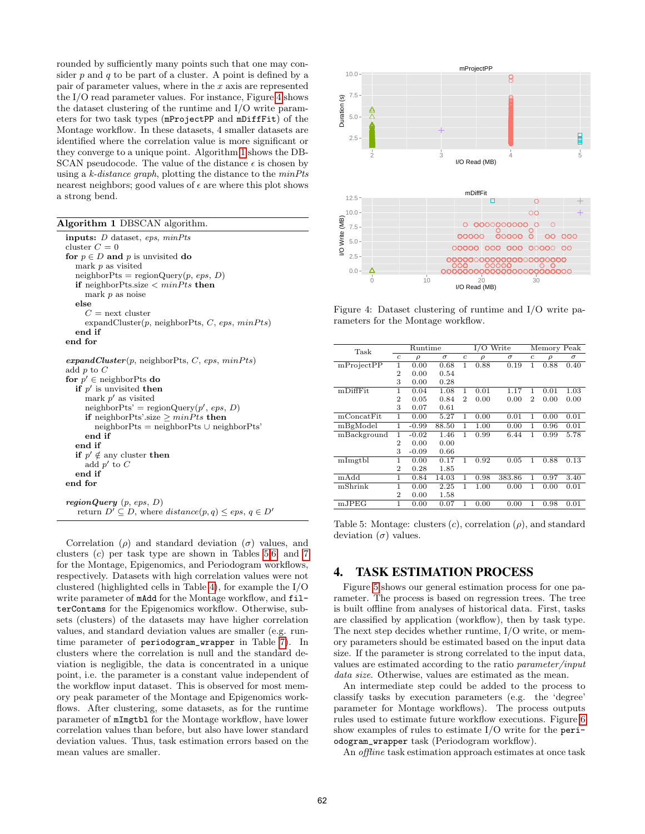rounded by sufficiently many points such that one may consider  $p$  and  $q$  to be part of a cluster. A point is defined by a pair of parameter values, where in the  $x$  axis are represented the I/O read parameter values. For instance, Figure 4 shows the dataset clustering of the runtime and I/O write parameters for two task types (mProjectPP and mDiffFit) of the Montage workflow. In these datasets, 4 smaller datasets are identified where the correlation value is more significant or they converge to a unique point. Algorithm 1 shows the DB-SCAN pseudocode. The value of the distance  $\epsilon$  is chosen by using a k-distance graph, plotting the distance to the minPts nearest neighbors; good values of  $\epsilon$  are where this plot shows a strong bend.

| Algorithm 1 DBSCAN algorithm.                                                     |
|-----------------------------------------------------------------------------------|
| <b>inputs:</b> $D$ dataset, $eps$ , $minPts$                                      |
| cluster $C=0$                                                                     |
| for $p \in D$ and p is unvisited do                                               |
| mark $p$ as visited                                                               |
| $neighborPts = regionQuery(p,eps, D)$                                             |
| if neighborPts.size $< minPts$ then                                               |
| mark $p$ as noise                                                                 |
| else                                                                              |
| $C =$ next cluster                                                                |
| $\exp$ andCluster $(p, \text{neighborPts}, C, \text{eps}, \text{minPts})$         |
| end if                                                                            |
| end for                                                                           |
| $\boldsymbol{expandCluster}(p, \text{neighborPts}, C, \text{eps}, \text{minPts})$ |
| add p to $C$                                                                      |
| for $p' \in$ neighborPts do                                                       |
| if $p'$ is unvisited then                                                         |
| mark $p'$ as visited                                                              |
| $neighborPts' = regionQuery(p',eps, D)$                                           |
| <b>if</b> neighborPts' size $> minPts$ then                                       |
| $neighborPts = neighborPts \cup neighborPts'$                                     |
| end if                                                                            |
| end if                                                                            |
| <b>if</b> $p' \notin \text{any cluster}$ then                                     |
| add $p'$ to $C$                                                                   |
| end if                                                                            |
| end for                                                                           |
| regionQuery(p,eps, D)                                                             |
| return $D' \subseteq D$ , where $distance(p, q) \leq eps$ , $q \in D'$            |

Correlation ( $\rho$ ) and standard deviation ( $\sigma$ ) values, and clusters (c) per task type are shown in Tables 5,6, and 7 for the Montage, Epigenomics, and Periodogram workflows, respectively. Datasets with high correlation values were not clustered (highlighted cells in Table 4), for example the I/O write parameter of **mAdd** for the Montage workflow, and  $\text{fil}$ terContams for the Epigenomics workflow. Otherwise, subsets (clusters) of the datasets may have higher correlation values, and standard deviation values are smaller (e.g. runtime parameter of periodogram\_wrapper in Table 7). In clusters where the correlation is null and the standard deviation is negligible, the data is concentrated in a unique point, i.e. the parameter is a constant value independent of the workflow input dataset. This is observed for most memory peak parameter of the Montage and Epigenomics workflows. After clustering, some datasets, as for the runtime parameter of mImgtbl for the Montage workflow, have lower correlation values than before, but also have lower standard deviation values. Thus, task estimation errors based on the mean values are smaller.



Figure 4: Dataset clustering of runtime and I/O write parameters for the Montage workflow.

| Task        |                  | $\mathrm{Runtime}$ |          |                | I/O  | Write    |                | Memory Peak |                   |
|-------------|------------------|--------------------|----------|----------------|------|----------|----------------|-------------|-------------------|
|             | $\boldsymbol{c}$ | ρ                  | $\sigma$ | $\overline{c}$ | ρ    | $\sigma$ | $\overline{c}$ | ρ           | $\sigma$          |
| mProjectPP  | 1                | 0.00               | 0.68     | 1              | 0.88 | 0.19     | 1              | 0.88        | $0.\overline{40}$ |
|             | $\overline{2}$   | 0.00               | 0.54     |                |      |          |                |             |                   |
|             | 3                | 0.00               | 0.28     |                |      |          |                |             |                   |
| $m$ DiffFit | 1                | 0.04               | 1.08     | 1              | 0.01 | 1.17     | 1              | 0.01        | 1.03              |
|             | $\overline{2}$   | 0.05               | 0.84     | $\overline{2}$ | 0.00 | 0.00     | $\overline{2}$ | 0.00        | 0.00              |
|             | 3                | 0.07               | 0.61     |                |      |          |                |             |                   |
| mConcatFit  | 1                | 0.00               | 5.27     | 1              | 0.00 | 0.01     | 1              | 0.00        | 0.01              |
| mBgModel    | 1                | $-0.99$            | 88.50    | 1              | 1.00 | 0.00     | 1              | 0.96        | 0.01              |
| mBackground | 1                | $-0.02$            | 1.46     | 1              | 0.99 | 6.44     | 1              | 0.99        | 5.78              |
|             | $\overline{2}$   | 0.00               | 0.00     |                |      |          |                |             |                   |
|             | 3                | $-0.09$            | 0.66     |                |      |          |                |             |                   |
| mImgtbl     | 1                | 0.00               | 0.17     | 1              | 0.92 | 0.05     | 1              | 0.88        | 0.13              |
|             | $\overline{2}$   | 0.28               | 1.85     |                |      |          |                |             |                   |
| mAdd        | 1                | 0.84               | 14.03    | 1              | 0.98 | 383.86   | 1              | 0.97        | 3.40              |
| mShrink     | ī                | 0.00               | 2.25     | 1              | 1.00 | 0.00     | 1              | 0.00        | 0.01              |
|             | $\overline{2}$   | 0.00               | 1.58     |                |      |          |                |             |                   |
| mJPEG       | 1                | 0.00               | 0.07     | 1              | 0.00 | 0.00     | 1              | 0.98        | 0.01              |

Table 5: Montage: clusters  $(c)$ , correlation  $(\rho)$ , and standard deviation  $(\sigma)$  values.

## 4. TASK ESTIMATION PROCESS

Figure 5 shows our general estimation process for one parameter. The process is based on regression trees. The tree is built offline from analyses of historical data. First, tasks are classified by application (workflow), then by task type. The next step decides whether runtime, I/O write, or memory parameters should be estimated based on the input data size. If the parameter is strong correlated to the input data, values are estimated according to the ratio parameter/input data size. Otherwise, values are estimated as the mean.

An intermediate step could be added to the process to classify tasks by execution parameters (e.g. the 'degree' parameter for Montage workflows). The process outputs rules used to estimate future workflow executions. Figure 6 show examples of rules to estimate I/O write for the periodogram\_wrapper task (Periodogram workflow).

An *offline* task estimation approach estimates at once task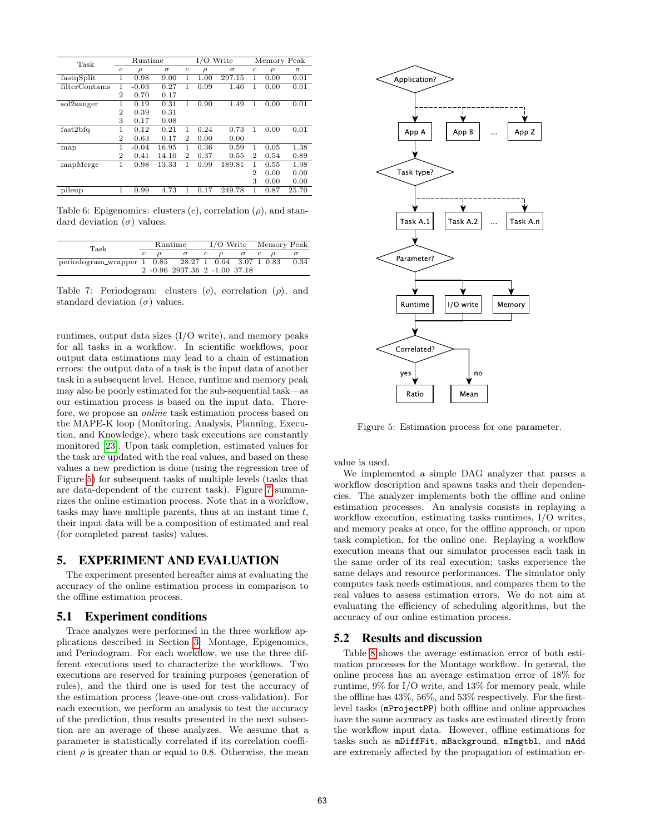| Task          |                  | Runtime |          |                  | I/O    | Write    |                  | Memory Peak |          |
|---------------|------------------|---------|----------|------------------|--------|----------|------------------|-------------|----------|
|               | $\boldsymbol{c}$ | $\rho$  | $\sigma$ | $\boldsymbol{c}$ | $\rho$ | $\sigma$ | $\boldsymbol{c}$ | $\rho$      | $\sigma$ |
| fastqSplit    | 1                | 0.98    | 9.00     | 1                | 1.00   | 297.15   | 1                | 0.00        | 0.01     |
| filterContams |                  | $-0.03$ | 0.27     | 1                | 0.99   | 1.46     | 1                | 0.00        | 0.01     |
|               | 2                | 0.70    | 0.17     |                  |        |          |                  |             |          |
| sol2sanger    | 1                | 0.19    | 0.31     | 1                | 0.90   | 1.49     | 1                | 0.00        | 0.01     |
|               | $\overline{2}$   | 0.39    | 0.31     |                  |        |          |                  |             |          |
|               | 3                | 0.17    | 0.08     |                  |        |          |                  |             |          |
| fast2bfq      | 1                | 0.12    | 0.21     | 1                | 0.24   | 0.73     | 1                | 0.00        | 0.01     |
|               | $\overline{2}$   | 0.63    | 0.17     | $\overline{2}$   | 0.00   | 0.00     |                  |             |          |
| map           | 1                | $-0.04$ | 16.95    | 1                | 0.36   | 0.59     | 1                | 0.05        | 1.38     |
|               | $\overline{2}$   | 0.41    | 14.10    | $\overline{2}$   | 0.37   | 0.55     | $\overline{2}$   | 0.54        | 0.89     |
| mapMerge      | 1                | 0.98    | 13.33    | 1                | 0.99   | 189.81   | 1                | 0.55        | 1.98     |
|               |                  |         |          |                  |        |          | $\overline{2}$   | 0.00        | 0.00     |
|               |                  |         |          |                  |        |          | 3                | 0.00        | 0.00     |
| pileup        | 1                | 0.99    | 4.73     | 1                | 0.17   | 249.78   | 1                | 0.87        | 25.70    |
|               |                  |         |          |                  |        |          |                  |             |          |

Table 6: Epigenomics: clusters  $(c)$ , correlation  $(\rho)$ , and standard deviation  $(\sigma)$  values.

| Task                                                | Runtime |  |                               |               | I/O Write Memory Peak |  |      |
|-----------------------------------------------------|---------|--|-------------------------------|---------------|-----------------------|--|------|
|                                                     |         |  |                               | $\mathcal{D}$ |                       |  |      |
| periodogram_wrapper 1 0.85 28.27 1 0.64 3.07 1 0.83 |         |  |                               |               |                       |  | 0.34 |
|                                                     |         |  | 2 -0.96 2937.36 2 -1.00 37.18 |               |                       |  |      |

Table 7: Periodogram: clusters  $(c)$ , correlation  $(\rho)$ , and standard deviation  $(\sigma)$  values.

runtimes, output data sizes (I/O write), and memory peaks for all tasks in a workflow. In scientific workflows, poor output data estimations may lead to a chain of estimation errors: the output data of a task is the input data of another task in a subsequent level. Hence, runtime and memory peak may also be poorly estimated for the sub-sequential task—as our estimation process is based on the input data. Therefore, we propose an online task estimation process based on the MAPE-K loop (Monitoring, Analysis, Planning, Execution, and Knowledge), where task executions are constantly monitored [23]. Upon task completion, estimated values for the task are updated with the real values, and based on these values a new prediction is done (using the regression tree of Figure 5) for subsequent tasks of multiple levels (tasks that are data-dependent of the current task). Figure 7 summarizes the online estimation process. Note that in a workflow, tasks may have multiple parents, thus at an instant time t, their input data will be a composition of estimated and real (for completed parent tasks) values.

## 5. EXPERIMENT AND EVALUATION

The experiment presented hereafter aims at evaluating the accuracy of the online estimation process in comparison to the offline estimation process.

### 5.1 Experiment conditions

Trace analyzes were performed in the three workflow applications described in Section 3: Montage, Epigenomics, and Periodogram. For each workflow, we use the three different executions used to characterize the workflows. Two executions are reserved for training purposes (generation of rules), and the third one is used for test the accuracy of the estimation process (leave-one-out cross-validation). For each execution, we perform an analysis to test the accuracy of the prediction, thus results presented in the next subsection are an average of these analyzes. We assume that a parameter is statistically correlated if its correlation coefficient  $\rho$  is greater than or equal to 0.8. Otherwise, the mean



Figure 5: Estimation process for one parameter.

value is used.

We implemented a simple DAG analyzer that parses a workflow description and spawns tasks and their dependencies. The analyzer implements both the offline and online estimation processes. An analysis consists in replaying a workflow execution, estimating tasks runtimes, I/O writes, and memory peaks at once, for the offline approach, or upon task completion, for the online one. Replaying a workflow execution means that our simulator processes each task in the same order of its real execution; tasks experience the same delays and resource performances. The simulator only computes task needs estimations, and compares them to the real values to assess estimation errors. We do not aim at evaluating the efficiency of scheduling algorithms, but the accuracy of our online estimation process.

#### 5.2 Results and discussion

Table 8 shows the average estimation error of both estimation processes for the Montage workflow. In general, the online process has an average estimation error of 18% for runtime, 9% for I/O write, and 13% for memory peak, while the offline has 43%, 56%, and 53% respectively. For the firstlevel tasks (mProjectPP) both offline and online approaches have the same accuracy as tasks are estimated directly from the workflow input data. However, offline estimations for tasks such as mDiffFit, mBackground, mImgtbl, and mAdd are extremely affected by the propagation of estimation er-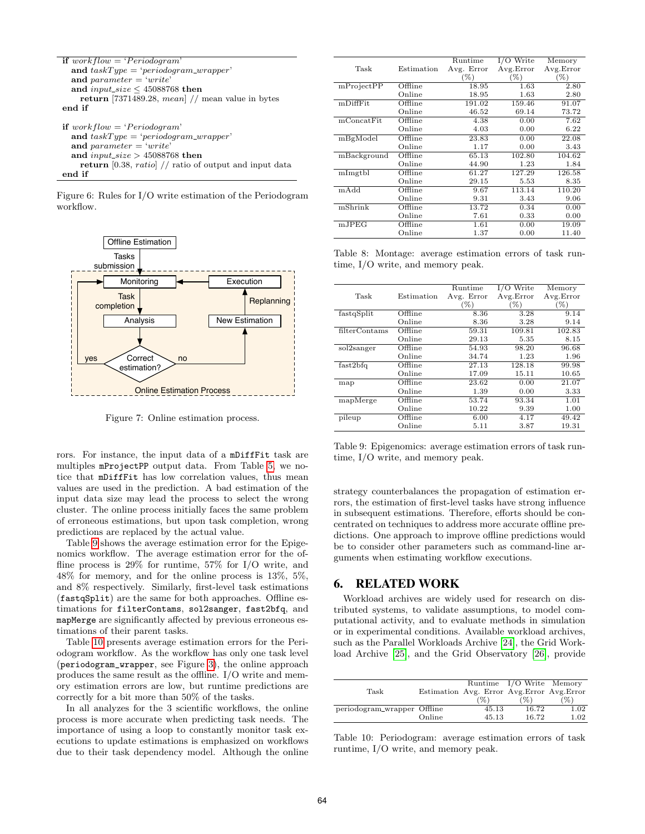| <b>if</b> workflow = 'Periodogram'                             |
|----------------------------------------------------------------|
| and $taskType = 'periodogram\_wrapper'$                        |
| and parameter $=$ 'write'                                      |
| and $input\_size \leq 45088768$ then                           |
| return [7371489.28, mean] // mean value in bytes               |
| end if                                                         |
|                                                                |
| <b>if</b> work flow $=$ 'Periodogram'                          |
| and $taskType = 'periodogram\_wrapper'$                        |
| and parameter $=$ 'write'                                      |
| and $input\_size > 45088768$ then                              |
| return [0.38, <i>ratio</i> ] // ratio of output and input data |
| end if                                                         |

Figure 6: Rules for I/O write estimation of the Periodogram workflow.



Figure 7: Online estimation process.

rors. For instance, the input data of a mDiffFit task are multiples mProjectPP output data. From Table 5, we notice that mDiffFit has low correlation values, thus mean values are used in the prediction. A bad estimation of the input data size may lead the process to select the wrong cluster. The online process initially faces the same problem of erroneous estimations, but upon task completion, wrong predictions are replaced by the actual value.

Table 9 shows the average estimation error for the Epigenomics workflow. The average estimation error for the offline process is  $29\%$  for runtime,  $57\%$  for I/O write, and 48% for memory, and for the online process is 13%, 5%, and 8% respectively. Similarly, first-level task estimations (fastqSplit) are the same for both approaches. Offline estimations for filterContams, sol2sanger, fast2bfq, and mapMerge are significantly affected by previous erroneous estimations of their parent tasks.

Table 10 presents average estimation errors for the Periodogram workflow. As the workflow has only one task level (periodogram\_wrapper, see Figure 3), the online approach produces the same result as the offline. I/O write and memory estimation errors are low, but runtime predictions are correctly for a bit more than 50% of the tasks.

In all analyzes for the 3 scientific workflows, the online process is more accurate when predicting task needs. The importance of using a loop to constantly monitor task executions to update estimations is emphasized on workflows due to their task dependency model. Although the online

|                |            | Runtime    | I/O Write | Memory    |
|----------------|------------|------------|-----------|-----------|
| Task           | Estimation | Avg. Error | Avg.Error | Avg.Error |
|                |            | $(\%)$     | $(\%)$    | $(\%)$    |
| mProjectPP     | Offline    | 18.95      | 1.63      | 2.80      |
|                | Online     | 18.95      | 1.63      | 2.80      |
| mDiffFit       | Offline    | 191.02     | 159.46    | 91.07     |
|                | Online     | 46.52      | 69.14     | 73.72     |
| mConcatFit     | Offline    | 4.38       | 0.00      | 7.62      |
|                | Online     | 4.03       | 0.00      | 6.22      |
| mBgModel       | Offline    | 23.83      | 0.00      | 22.08     |
|                | Online     | 1.17       | 0.00      | 3.43      |
| $m$ Background | Offline    | 65.13      | 102.80    | 104.62    |
|                | Online     | 44.90      | 1.23      | 1.84      |
| mImgtbl        | Offline    | 61.27      | 127.29    | 126.58    |
|                | Online     | 29.15      | 5.53      | 8.35      |
| mAdd           | Offline    | 9.67       | 113.14    | 110.20    |
|                | Online     | 9.31       | 3.43      | 9.06      |
| mShrink        | Offline    | 13.72      | 0.34      | 0.00      |
|                | Online     | 7.61       | 0.33      | 0.00      |
| mJPEG          | Offline    | 1.61       | 0.00      | 19.09     |
|                | Online     | 1.37       | 0.00      | 11.40     |

Table 8: Montage: average estimation errors of task runtime, I/O write, and memory peak.

|               |                             | Runtime    |             |                            |
|---------------|-----------------------------|------------|-------------|----------------------------|
|               |                             |            | $I/O$ Write | $\overline{\text{Memory}}$ |
| Task          | Estimation                  | Avg. Error | Avg.Error   | Avg.Error                  |
|               |                             | $(\% )$    | $(\%)$      | $(\% )$                    |
| fastqSplit    | $\overline{\text{Offline}}$ | 8.36       | 3.28        | 9.14                       |
|               | Online                      | 8.36       | 3.28        | 9.14                       |
| filterContams | Offline                     | 59.31      | 109.81      | 102.83                     |
|               | Online                      | 29.13      | 5.35        | 8.15                       |
| sol2sanger    | Offline                     | 54.93      | 98.20       | 96.68                      |
|               | Online                      | 34.74      | 1.23        | 1.96                       |
| fast2bfq      | Offline                     | 27.13      | 128.18      | 99.98                      |
|               | Online                      | 17.09      | 15.11       | 10.65                      |
| map           | Offline                     | 23.62      | 0.00        | 21.07                      |
|               | Online                      | 1.39       | 0.00        | 3.33                       |
| mapMerge      | Offline                     | 53.74      | 93.34       | 1.01                       |
|               | Online                      | 10.22      | 9.39        | 1.00                       |
| pileup        | Offline                     | 6.00       | 4.17        | 49.42                      |
|               | Online                      | 5.11       | 3.87        | 19.31                      |

Table 9: Epigenomics: average estimation errors of task runtime, I/O write, and memory peak.

strategy counterbalances the propagation of estimation errors, the estimation of first-level tasks have strong influence in subsequent estimations. Therefore, efforts should be concentrated on techniques to address more accurate offline predictions. One approach to improve offline predictions would be to consider other parameters such as command-line arguments when estimating workflow executions.

## 6. RELATED WORK

Workload archives are widely used for research on distributed systems, to validate assumptions, to model computational activity, and to evaluate methods in simulation or in experimental conditions. Available workload archives, such as the Parallel Workloads Archive [24], the Grid Workload Archive [25], and the Grid Observatory [26], provide

|                             |        |                                             | Runtime I/O Write Memory |      |
|-----------------------------|--------|---------------------------------------------|--------------------------|------|
| Task                        |        | Estimation Avg. Error Avg. Error Avg. Error |                          |      |
|                             |        | (%)                                         | $\mathscr{C}_{0}$        | $\%$ |
| periodogram_wrapper Offline |        | 45.13                                       | 16.72                    | 1.02 |
|                             | Online | 45.13                                       | 16.72                    | 1.02 |

Table 10: Periodogram: average estimation errors of task runtime, I/O write, and memory peak.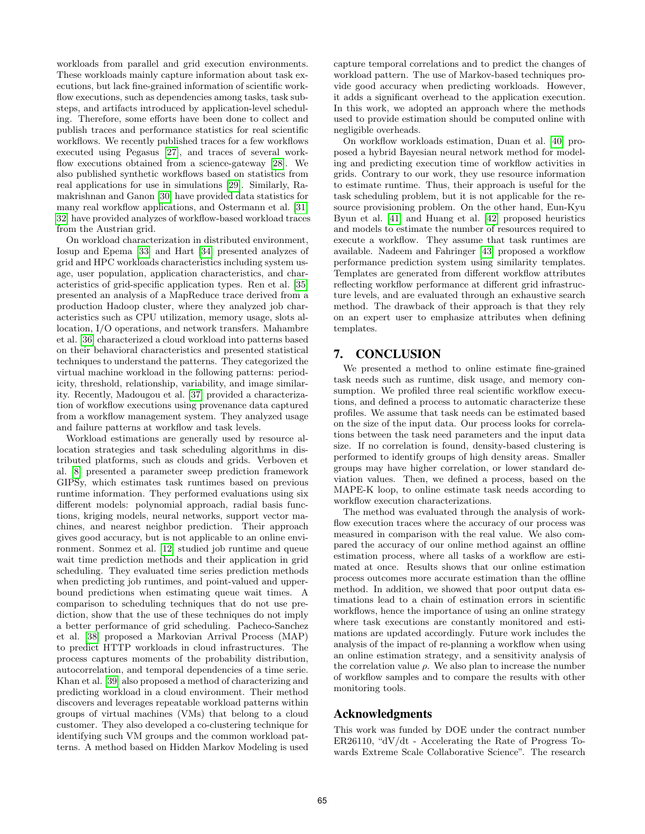workloads from parallel and grid execution environments. These workloads mainly capture information about task executions, but lack fine-grained information of scientific workflow executions, such as dependencies among tasks, task substeps, and artifacts introduced by application-level scheduling. Therefore, some efforts have been done to collect and publish traces and performance statistics for real scientific workflows. We recently published traces for a few workflows executed using Pegasus [27], and traces of several workflow executions obtained from a science-gateway [28]. We also published synthetic workflows based on statistics from real applications for use in simulations [29]. Similarly, Ramakrishnan and Ganon [30] have provided data statistics for many real workflow applications, and Ostermann et al. [31, 32] have provided analyzes of workflow-based workload traces from the Austrian grid.

On workload characterization in distributed environment, Iosup and Epema [33] and Hart [34] presented analyzes of grid and HPC workloads characteristics including system usage, user population, application characteristics, and characteristics of grid-specific application types. Ren et al. [35] presented an analysis of a MapReduce trace derived from a production Hadoop cluster, where they analyzed job characteristics such as CPU utilization, memory usage, slots allocation, I/O operations, and network transfers. Mahambre et al. [36] characterized a cloud workload into patterns based on their behavioral characteristics and presented statistical techniques to understand the patterns. They categorized the virtual machine workload in the following patterns: periodicity, threshold, relationship, variability, and image similarity. Recently, Madougou et al. [37] provided a characterization of workflow executions using provenance data captured from a workflow management system. They analyzed usage and failure patterns at workflow and task levels.

Workload estimations are generally used by resource allocation strategies and task scheduling algorithms in distributed platforms, such as clouds and grids. Verboven et al. [8] presented a parameter sweep prediction framework GIPSy, which estimates task runtimes based on previous runtime information. They performed evaluations using six different models: polynomial approach, radial basis functions, kriging models, neural networks, support vector machines, and nearest neighbor prediction. Their approach gives good accuracy, but is not applicable to an online environment. Sonmez et al. [12] studied job runtime and queue wait time prediction methods and their application in grid scheduling. They evaluated time series prediction methods when predicting job runtimes, and point-valued and upperbound predictions when estimating queue wait times. A comparison to scheduling techniques that do not use prediction, show that the use of these techniques do not imply a better performance of grid scheduling. Pacheco-Sanchez et al. [38] proposed a Markovian Arrival Process (MAP) to predict HTTP workloads in cloud infrastructures. The process captures moments of the probability distribution, autocorrelation, and temporal dependencies of a time serie. Khan et al. [39] also proposed a method of characterizing and predicting workload in a cloud environment. Their method discovers and leverages repeatable workload patterns within groups of virtual machines (VMs) that belong to a cloud customer. They also developed a co-clustering technique for identifying such VM groups and the common workload patterns. A method based on Hidden Markov Modeling is used capture temporal correlations and to predict the changes of workload pattern. The use of Markov-based techniques provide good accuracy when predicting workloads. However, it adds a significant overhead to the application execution. In this work, we adopted an approach where the methods used to provide estimation should be computed online with negligible overheads.

On workflow workloads estimation, Duan et al. [40] proposed a hybrid Bayesian neural network method for modeling and predicting execution time of workflow activities in grids. Contrary to our work, they use resource information to estimate runtime. Thus, their approach is useful for the task scheduling problem, but it is not applicable for the resource provisioning problem. On the other hand, Eun-Kyu Byun et al. [41] and Huang et al. [42] proposed heuristics and models to estimate the number of resources required to execute a workflow. They assume that task runtimes are available. Nadeem and Fahringer [43] proposed a workflow performance prediction system using similarity templates. Templates are generated from different workflow attributes reflecting workflow performance at different grid infrastructure levels, and are evaluated through an exhaustive search method. The drawback of their approach is that they rely on an expert user to emphasize attributes when defining templates.

# 7. CONCLUSION

We presented a method to online estimate fine-grained task needs such as runtime, disk usage, and memory consumption. We profiled three real scientific workflow executions, and defined a process to automatic characterize these profiles. We assume that task needs can be estimated based on the size of the input data. Our process looks for correlations between the task need parameters and the input data size. If no correlation is found, density-based clustering is performed to identify groups of high density areas. Smaller groups may have higher correlation, or lower standard deviation values. Then, we defined a process, based on the MAPE-K loop, to online estimate task needs according to workflow execution characterizations.

The method was evaluated through the analysis of workflow execution traces where the accuracy of our process was measured in comparison with the real value. We also compared the accuracy of our online method against an offline estimation process, where all tasks of a workflow are estimated at once. Results shows that our online estimation process outcomes more accurate estimation than the offline method. In addition, we showed that poor output data estimations lead to a chain of estimation errors in scientific workflows, hence the importance of using an online strategy where task executions are constantly monitored and estimations are updated accordingly. Future work includes the analysis of the impact of re-planning a workflow when using an online estimation strategy, and a sensitivity analysis of the correlation value  $\rho$ . We also plan to increase the number of workflow samples and to compare the results with other monitoring tools.

### Acknowledgments

This work was funded by DOE under the contract number ER26110, "dV/dt - Accelerating the Rate of Progress Towards Extreme Scale Collaborative Science". The research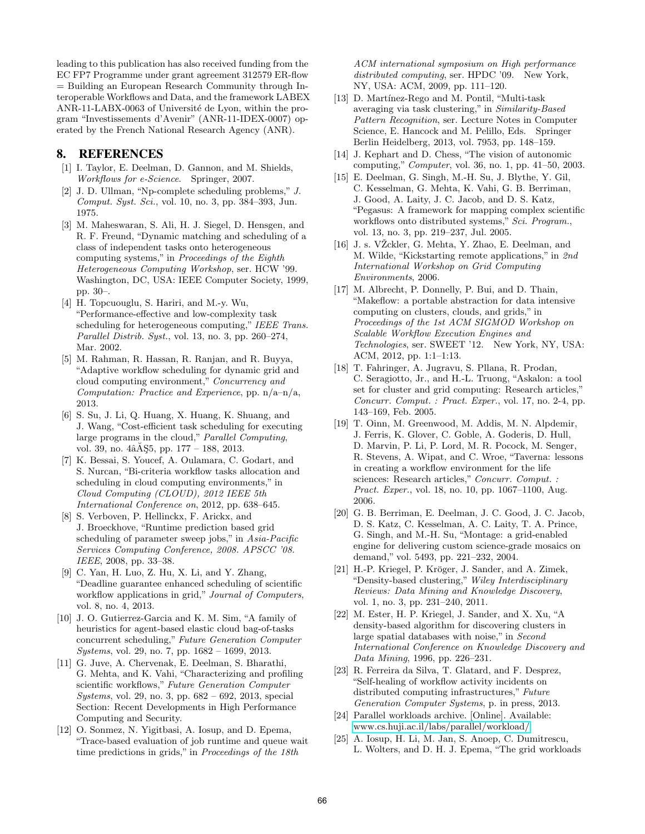leading to this publication has also received funding from the EC FP7 Programme under grant agreement 312579 ER-flow  $=$  Building an European Research Community through Interoperable Workflows and Data, and the framework LABEX ANR-11-LABX-0063 of Université de Lyon, within the program "Investissements d'Avenir" (ANR-11-IDEX-0007) operated by the French National Research Agency (ANR).

## 8. REFERENCES

- [1] I. Taylor, E. Deelman, D. Gannon, and M. Shields, Workflows for e-Science. Springer, 2007.
- [2] J. D. Ullman, "Np-complete scheduling problems," J. Comput. Syst. Sci., vol. 10, no. 3, pp. 384–393, Jun. 1975.
- [3] M. Maheswaran, S. Ali, H. J. Siegel, D. Hensgen, and R. F. Freund, "Dynamic matching and scheduling of a class of independent tasks onto heterogeneous computing systems," in Proceedings of the Eighth Heterogeneous Computing Workshop, ser. HCW '99. Washington, DC, USA: IEEE Computer Society, 1999, pp. 30–.
- [4] H. Topcuouglu, S. Hariri, and M.-v. Wu, "Performance-effective and low-complexity task scheduling for heterogeneous computing," IEEE Trans. Parallel Distrib. Syst., vol. 13, no. 3, pp. 260–274, Mar. 2002.
- [5] M. Rahman, R. Hassan, R. Ranjan, and R. Buyya, "Adaptive workflow scheduling for dynamic grid and cloud computing environment," Concurrency and Computation: Practice and Experience, pp.  $n/a-n/a$ , 2013.
- [6] S. Su, J. Li, Q. Huang, X. Huang, K. Shuang, and J. Wang, "Cost-efficient task scheduling for executing large programs in the cloud," Parallel Computing, vol. 39, no. 4 $\tilde{A}$  $\tilde{A}$  $\tilde{S}$ <sub>5</sub>, pp. 177 – 188, 2013.
- [7] K. Bessai, S. Youcef, A. Oulamara, C. Godart, and S. Nurcan, "Bi-criteria workflow tasks allocation and scheduling in cloud computing environments," in Cloud Computing (CLOUD), 2012 IEEE 5th International Conference on, 2012, pp. 638–645.
- [8] S. Verboven, P. Hellinckx, F. Arickx, and J. Broeckhove, "Runtime prediction based grid scheduling of parameter sweep jobs," in Asia-Pacific Services Computing Conference, 2008. APSCC '08. IEEE, 2008, pp. 33-38.
- [9] C. Yan, H. Luo, Z. Hu, X. Li, and Y. Zhang, "Deadline guarantee enhanced scheduling of scientific workflow applications in grid," Journal of Computers, vol. 8, no. 4, 2013.
- [10] J. O. Gutierrez-Garcia and K. M. Sim, "A family of heuristics for agent-based elastic cloud bag-of-tasks concurrent scheduling," Future Generation Computer Systems, vol. 29, no. 7, pp. 1682 – 1699, 2013.
- [11] G. Juve, A. Chervenak, E. Deelman, S. Bharathi, G. Mehta, and K. Vahi, "Characterizing and profiling scientific workflows," Future Generation Computer Systems, vol. 29, no. 3, pp. 682 – 692, 2013, special Section: Recent Developments in High Performance Computing and Security.
- [12] O. Sonmez, N. Yigitbasi, A. Iosup, and D. Epema, "Trace-based evaluation of job runtime and queue wait time predictions in grids," in Proceedings of the 18th

ACM international symposium on High performance distributed computing, ser. HPDC '09. New York, NY, USA: ACM, 2009, pp. 111–120.

- [13] D. Martínez-Rego and M. Pontil, "Multi-task averaging via task clustering," in Similarity-Based Pattern Recognition, ser. Lecture Notes in Computer Science, E. Hancock and M. Pelillo, Eds. Springer Berlin Heidelberg, 2013, vol. 7953, pp. 148–159.
- [14] J. Kephart and D. Chess, "The vision of autonomic computing," Computer, vol. 36, no. 1, pp. 41–50, 2003.
- [15] E. Deelman, G. Singh, M.-H. Su, J. Blythe, Y. Gil, C. Kesselman, G. Mehta, K. Vahi, G. B. Berriman, J. Good, A. Laity, J. C. Jacob, and D. S. Katz, "Pegasus: A framework for mapping complex scientific workflows onto distributed systems," Sci. Program., vol. 13, no. 3, pp. 219–237, Jul. 2005.
- [16] J. s. V $\mathsf{Z}$ ckler, G. Mehta, Y. Zhao, E. Deelman, and M. Wilde, "Kickstarting remote applications," in 2nd International Workshop on Grid Computing Environments, 2006.
- [17] M. Albrecht, P. Donnelly, P. Bui, and D. Thain, "Makeflow: a portable abstraction for data intensive computing on clusters, clouds, and grids," in Proceedings of the 1st ACM SIGMOD Workshop on Scalable Workflow Execution Engines and Technologies, ser. SWEET '12. New York, NY, USA: ACM, 2012, pp. 1:1–1:13.
- [18] T. Fahringer, A. Jugravu, S. Pllana, R. Prodan, C. Seragiotto, Jr., and H.-L. Truong, "Askalon: a tool set for cluster and grid computing: Research articles," Concurr. Comput. : Pract. Exper., vol. 17, no. 2-4, pp. 143–169, Feb. 2005.
- [19] T. Oinn, M. Greenwood, M. Addis, M. N. Alpdemir, J. Ferris, K. Glover, C. Goble, A. Goderis, D. Hull, D. Marvin, P. Li, P. Lord, M. R. Pocock, M. Senger, R. Stevens, A. Wipat, and C. Wroe, "Taverna: lessons in creating a workflow environment for the life sciences: Research articles," Concurr. Comput. : Pract. Exper., vol. 18, no. 10, pp. 1067–1100, Aug. 2006.
- [20] G. B. Berriman, E. Deelman, J. C. Good, J. C. Jacob, D. S. Katz, C. Kesselman, A. C. Laity, T. A. Prince, G. Singh, and M.-H. Su, "Montage: a grid-enabled engine for delivering custom science-grade mosaics on demand," vol. 5493, pp. 221–232, 2004.
- [21] H.-P. Kriegel, P. Kröger, J. Sander, and A. Zimek, "Density-based clustering," Wiley Interdisciplinary Reviews: Data Mining and Knowledge Discovery, vol. 1, no. 3, pp. 231–240, 2011.
- [22] M. Ester, H. P. Kriegel, J. Sander, and X. Xu, "A density-based algorithm for discovering clusters in large spatial databases with noise," in Second International Conference on Knowledge Discovery and Data Mining, 1996, pp. 226–231.
- [23] R. Ferreira da Silva, T. Glatard, and F. Desprez, "Self-healing of workflow activity incidents on distributed computing infrastructures," Future Generation Computer Systems, p. in press, 2013.
- [24] Parallel workloads archive. [Online]. Available: <www.cs.huji.ac.il/labs/parallel/workload/>
- [25] A. Iosup, H. Li, M. Jan, S. Anoep, C. Dumitrescu, L. Wolters, and D. H. J. Epema, "The grid workloads